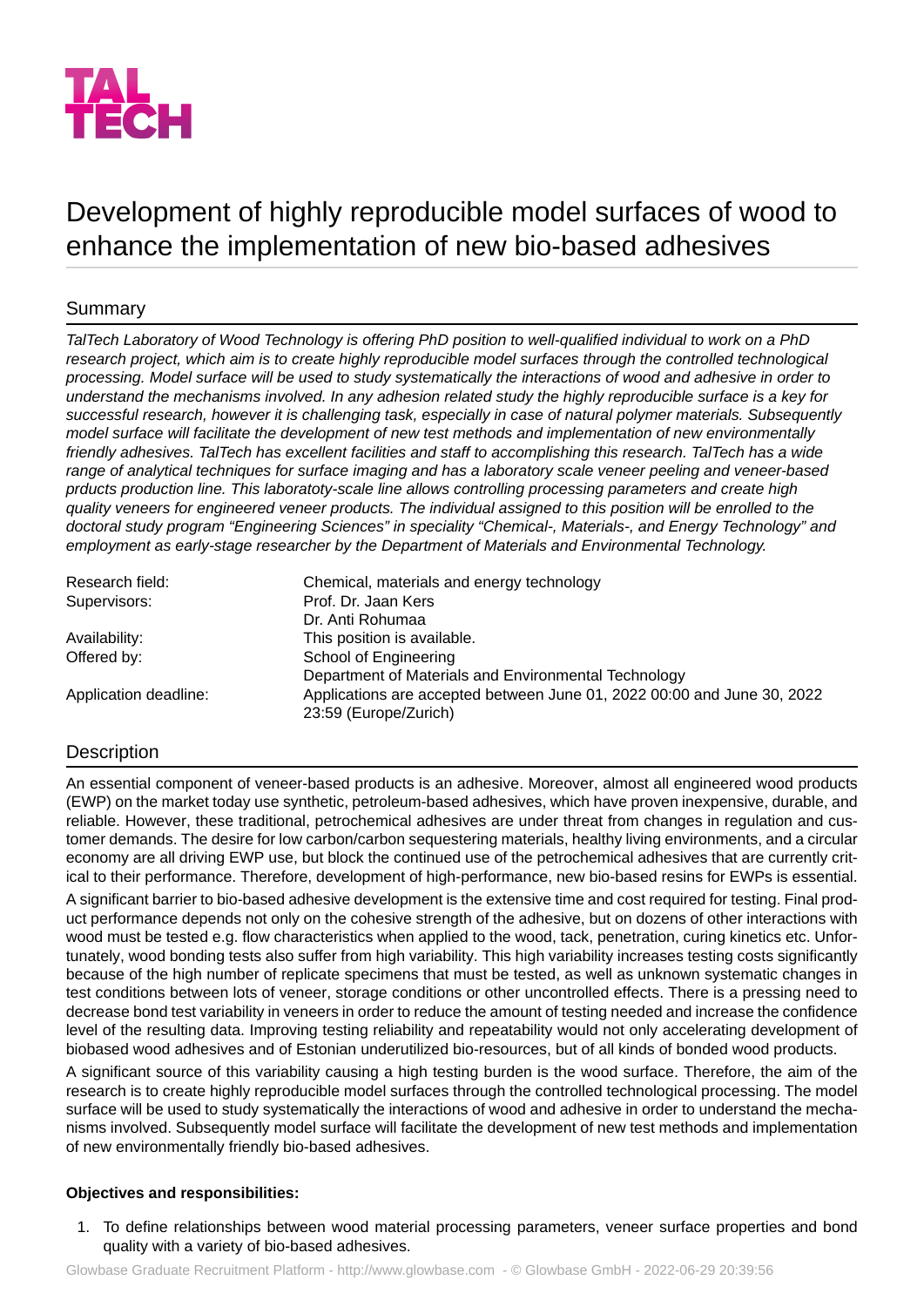

# Development of highly reproducible model surfaces of wood to enhance the implementation of new bio-based adhesives

# Summary

TalTech Laboratory of Wood Technology is offering PhD position to well-qualified individual to work on a PhD *research project, which aim is to create highly reproducible model surfaces through the controlled technological processing. Model surface will be used to study systematically the interactions of wood and adhesive in order to understand the mechanisms involved. In any adhesion related study the highly reproducible surface is a key for successful research, however it is challenging task, especially in case of natural polymer materials. Subsequently model surface will facilitate the development of new test methods and implementation of new environmentally* friendly adhesives. TalTech has excellent facilities and staff to accomplishing this research. TalTech has a wide *range of analytical techniques for surface imaging and has a laboratory scale veneer peeling and veneer-based prducts production line. This laboratoty-scale line allows controlling processing parameters and create high quality veneers for engineered veneer products. The individual assigned to this position will be enrolled to the doctoral study program "Engineering Sciences" in speciality "Chemical-, Materials-, and Energy Technology" and employment as early-stage researcher by the Department of Materials and Environmental Technology.*

| Research field:       | Chemical, materials and energy technology                                                        |
|-----------------------|--------------------------------------------------------------------------------------------------|
| Supervisors:          | Prof. Dr. Jaan Kers                                                                              |
|                       | Dr. Anti Rohumaa                                                                                 |
| Availability:         | This position is available.                                                                      |
| Offered by:           | School of Engineering                                                                            |
|                       | Department of Materials and Environmental Technology                                             |
| Application deadline: | Applications are accepted between June 01, 2022 00:00 and June 30, 2022<br>23:59 (Europe/Zurich) |

# **Description**

An essential component of veneer-based products is an adhesive. Moreover, almost all engineered wood products (EWP) on the market today use synthetic, petroleum-based adhesives, which have proven inexpensive, durable, and reliable. However, these traditional, petrochemical adhesives are under threat from changes in regulation and customer demands. The desire for low carbon/carbon sequestering materials, healthy living environments, and a circular economy are all driving EWP use, but block the continued use of the petrochemical adhesives that are currently critical to their performance. Therefore, development of high-performance, new bio-based resins for EWPs is essential.

A significant barrier to bio-based adhesive development is the extensive time and cost required for testing. Final product performance depends not only on the cohesive strength of the adhesive, but on dozens of other interactions with wood must be tested e.g. flow characteristics when applied to the wood, tack, penetration, curing kinetics etc. Unfortunately, wood bonding tests also suffer from high variability. This high variability increases testing costs significantly because of the high number of replicate specimens that must be tested, as well as unknown systematic changes in test conditions between lots of veneer, storage conditions or other uncontrolled effects. There is a pressing need to decrease bond test variability in veneers in order to reduce the amount of testing needed and increase the confidence level of the resulting data. Improving testing reliability and repeatability would not only accelerating development of biobased wood adhesives and of Estonian underutilized bio-resources, but of all kinds of bonded wood products.

A significant source of this variability causing a high testing burden is the wood surface. Therefore, the aim of the research is to create highly reproducible model surfaces through the controlled technological processing. The model surface will be used to study systematically the interactions of wood and adhesive in order to understand the mechanisms involved. Subsequently model surface will facilitate the development of new test methods and implementation of new environmentally friendly bio-based adhesives.

## **Objectives and responsibilities:**

1. To define relationships between wood material processing parameters, veneer surface properties and bond quality with a variety of bio-based adhesives.